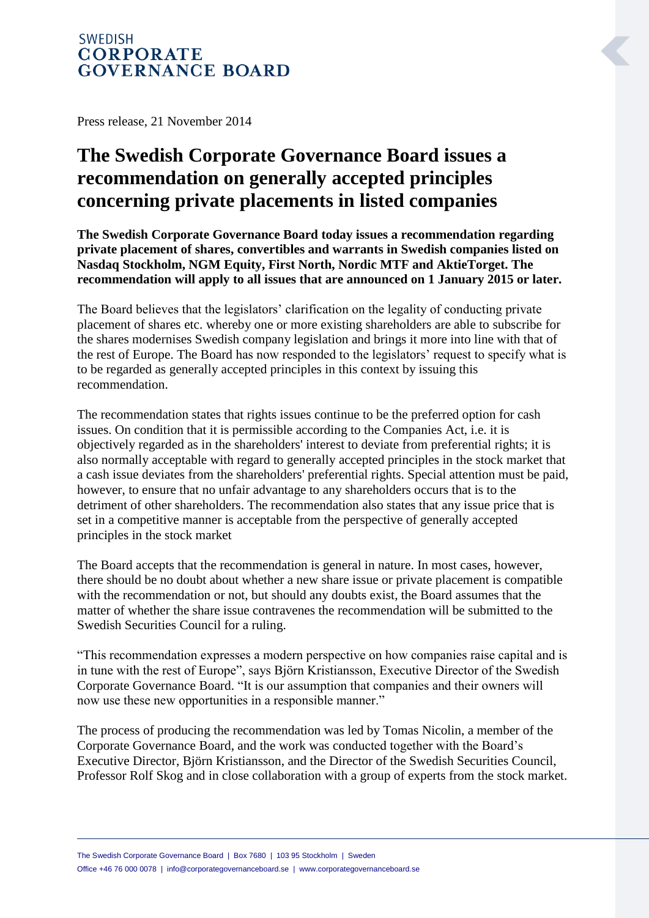## **SWEDISH CORPORATE GOVERNANCE BOARD**

Press release, 21 November 2014

## **The Swedish Corporate Governance Board issues a recommendation on generally accepted principles concerning private placements in listed companies**

**The Swedish Corporate Governance Board today issues a recommendation regarding private placement of shares, convertibles and warrants in Swedish companies listed on Nasdaq Stockholm, NGM Equity, First North, Nordic MTF and AktieTorget. The recommendation will apply to all issues that are announced on 1 January 2015 or later.**

The Board believes that the legislators' clarification on the legality of conducting private placement of shares etc. whereby one or more existing shareholders are able to subscribe for the shares modernises Swedish company legislation and brings it more into line with that of the rest of Europe. The Board has now responded to the legislators' request to specify what is to be regarded as generally accepted principles in this context by issuing this recommendation.

The recommendation states that rights issues continue to be the preferred option for cash issues. On condition that it is permissible according to the Companies Act, i.e. it is objectively regarded as in the shareholders' interest to deviate from preferential rights; it is also normally acceptable with regard to generally accepted principles in the stock market that a cash issue deviates from the shareholders' preferential rights. Special attention must be paid, however, to ensure that no unfair advantage to any shareholders occurs that is to the detriment of other shareholders. The recommendation also states that any issue price that is set in a competitive manner is acceptable from the perspective of generally accepted principles in the stock market

The Board accepts that the recommendation is general in nature. In most cases, however, there should be no doubt about whether a new share issue or private placement is compatible with the recommendation or not, but should any doubts exist, the Board assumes that the matter of whether the share issue contravenes the recommendation will be submitted to the Swedish Securities Council for a ruling.

"This recommendation expresses a modern perspective on how companies raise capital and is in tune with the rest of Europe", says Björn Kristiansson, Executive Director of the Swedish Corporate Governance Board. "It is our assumption that companies and their owners will now use these new opportunities in a responsible manner."

The process of producing the recommendation was led by Tomas Nicolin, a member of the Corporate Governance Board, and the work was conducted together with the Board's Executive Director, Björn Kristiansson, and the Director of the Swedish Securities Council, Professor Rolf Skog and in close collaboration with a group of experts from the stock market.